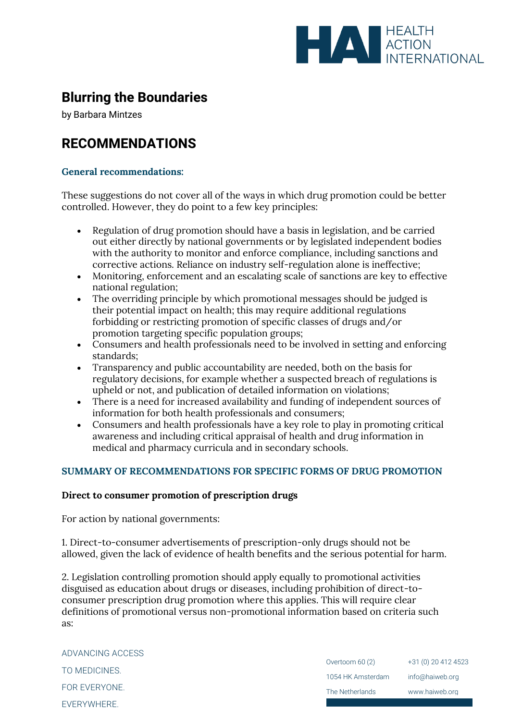

# **Blurring the Boundaries**

by Barbara Mintzes

# **RECOMMENDATIONS**

## **General recommendations:**

These suggestions do not cover all of the ways in which drug promotion could be better controlled. However, they do point to a few key principles:

- Regulation of drug promotion should have a basis in legislation, and be carried out either directly by national governments or by legislated independent bodies with the authority to monitor and enforce compliance, including sanctions and corrective actions. Reliance on industry self-regulation alone is ineffective;
- Monitoring, enforcement and an escalating scale of sanctions are key to effective national regulation;
- The overriding principle by which promotional messages should be judged is their potential impact on health; this may require additional regulations forbidding or restricting promotion of specific classes of drugs and/or promotion targeting specific population groups;
- Consumers and health professionals need to be involved in setting and enforcing standards;
- Transparency and public accountability are needed, both on the basis for regulatory decisions, for example whether a suspected breach of regulations is upheld or not, and publication of detailed information on violations;
- There is a need for increased availability and funding of independent sources of information for both health professionals and consumers;
- Consumers and health professionals have a key role to play in promoting critical awareness and including critical appraisal of health and drug information in medical and pharmacy curricula and in secondary schools.

# **SUMMARY OF RECOMMENDATIONS FOR SPECIFIC FORMS OF DRUG PROMOTION**

### **Direct to consumer promotion of prescription drugs**

For action by national governments:

1. Direct-to-consumer advertisements of prescription-only drugs should not be allowed, given the lack of evidence of health benefits and the serious potential for harm.

2. Legislation controlling promotion should apply equally to promotional activities disguised as education about drugs or diseases, including prohibition of direct-toconsumer prescription drug promotion where this applies. This will require clear definitions of promotional versus non-promotional information based on criteria such as:

| ADVANCING ACCESS |                   |                     |
|------------------|-------------------|---------------------|
| TO MEDICINES.    | Overtoom 60 (2)   | +31 (0) 20 412 4523 |
|                  | 1054 HK Amsterdam | info@haiweb.org     |
| FOR EVERYONE.    | The Netherlands   | www.haiweb.org      |
| EVERYWHERE.      |                   |                     |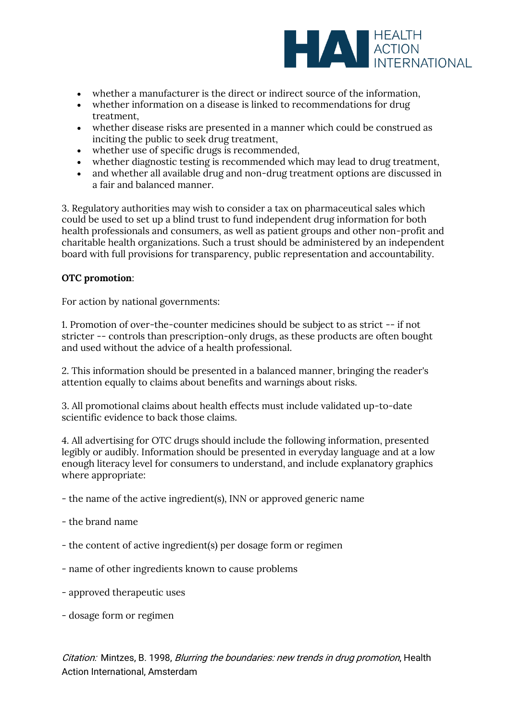

- whether a manufacturer is the direct or indirect source of the information,
- whether information on a disease is linked to recommendations for drug treatment,
- whether disease risks are presented in a manner which could be construed as inciting the public to seek drug treatment,
- whether use of specific drugs is recommended,
- whether diagnostic testing is recommended which may lead to drug treatment,
- and whether all available drug and non-drug treatment options are discussed in a fair and balanced manner.

3. Regulatory authorities may wish to consider a tax on pharmaceutical sales which could be used to set up a blind trust to fund independent drug information for both health professionals and consumers, as well as patient groups and other non-profit and charitable health organizations. Such a trust should be administered by an independent board with full provisions for transparency, public representation and accountability.

## **OTC promotion**:

For action by national governments:

1. Promotion of over-the-counter medicines should be subject to as strict -- if not stricter -- controls than prescription-only drugs, as these products are often bought and used without the advice of a health professional.

2. This information should be presented in a balanced manner, bringing the reader's attention equally to claims about benefits and warnings about risks.

3. All promotional claims about health effects must include validated up-to-date scientific evidence to back those claims.

4. All advertising for OTC drugs should include the following information, presented legibly or audibly. Information should be presented in everyday language and at a low enough literacy level for consumers to understand, and include explanatory graphics where appropriate:

- the name of the active ingredient(s), INN or approved generic name
- the brand name
- the content of active ingredient(s) per dosage form or regimen
- name of other ingredients known to cause problems
- approved therapeutic uses
- dosage form or regimen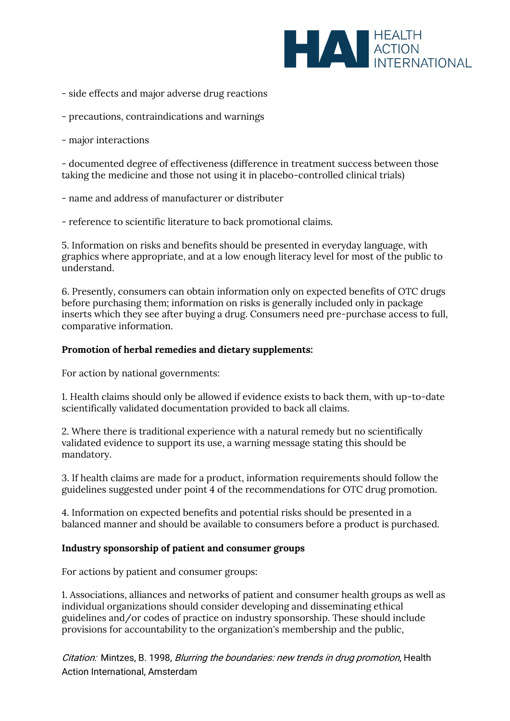

- side effects and major adverse drug reactions
- precautions, contraindications and warnings

- major interactions

- documented degree of effectiveness (difference in treatment success between those taking the medicine and those not using it in placebo-controlled clinical trials)

- name and address of manufacturer or distributer

- reference to scientific literature to back promotional claims.

5. Information on risks and benefits should be presented in everyday language, with graphics where appropriate, and at a low enough literacy level for most of the public to understand.

6. Presently, consumers can obtain information only on expected benefits of OTC drugs before purchasing them; information on risks is generally included only in package inserts which they see after buying a drug. Consumers need pre-purchase access to full, comparative information.

## **Promotion of herbal remedies and dietary supplements:**

For action by national governments:

1. Health claims should only be allowed if evidence exists to back them, with up-to-date scientifically validated documentation provided to back all claims.

2. Where there is traditional experience with a natural remedy but no scientifically validated evidence to support its use, a warning message stating this should be mandatory.

3. If health claims are made for a product, information requirements should follow the guidelines suggested under point 4 of the recommendations for OTC drug promotion.

4. Information on expected benefits and potential risks should be presented in a balanced manner and should be available to consumers before a product is purchased.

### **Industry sponsorship of patient and consumer groups**

For actions by patient and consumer groups:

1. Associations, alliances and networks of patient and consumer health groups as well as individual organizations should consider developing and disseminating ethical guidelines and/or codes of practice on industry sponsorship. These should include provisions for accountability to the organization's membership and the public,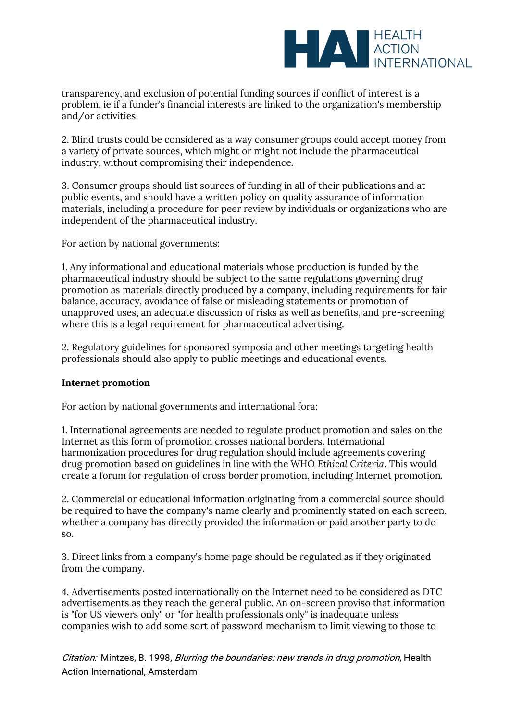

transparency, and exclusion of potential funding sources if conflict of interest is a problem, ie if a funder's financial interests are linked to the organization's membership and/or activities.

2. Blind trusts could be considered as a way consumer groups could accept money from a variety of private sources, which might or might not include the pharmaceutical industry, without compromising their independence.

3. Consumer groups should list sources of funding in all of their publications and at public events, and should have a written policy on quality assurance of information materials, including a procedure for peer review by individuals or organizations who are independent of the pharmaceutical industry.

For action by national governments:

1. Any informational and educational materials whose production is funded by the pharmaceutical industry should be subject to the same regulations governing drug promotion as materials directly produced by a company, including requirements for fair balance, accuracy, avoidance of false or misleading statements or promotion of unapproved uses, an adequate discussion of risks as well as benefits, and pre-screening where this is a legal requirement for pharmaceutical advertising.

2. Regulatory guidelines for sponsored symposia and other meetings targeting health professionals should also apply to public meetings and educational events.

# **Internet promotion**

For action by national governments and international fora:

1. International agreements are needed to regulate product promotion and sales on the Internet as this form of promotion crosses national borders. International harmonization procedures for drug regulation should include agreements covering drug promotion based on guidelines in line with the WHO *Ethical Criteria*. This would create a forum for regulation of cross border promotion, including Internet promotion.

2. Commercial or educational information originating from a commercial source should be required to have the company's name clearly and prominently stated on each screen, whether a company has directly provided the information or paid another party to do so.

3. Direct links from a company's home page should be regulated as if they originated from the company.

4. Advertisements posted internationally on the Internet need to be considered as DTC advertisements as they reach the general public. An on-screen proviso that information is "for US viewers only" or "for health professionals only" is inadequate unless companies wish to add some sort of password mechanism to limit viewing to those to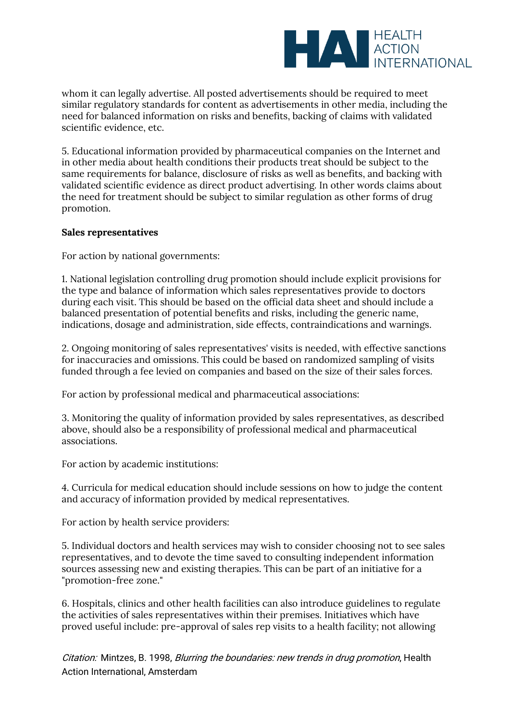

whom it can legally advertise. All posted advertisements should be required to meet similar regulatory standards for content as advertisements in other media, including the need for balanced information on risks and benefits, backing of claims with validated scientific evidence, etc.

5. Educational information provided by pharmaceutical companies on the Internet and in other media about health conditions their products treat should be subject to the same requirements for balance, disclosure of risks as well as benefits, and backing with validated scientific evidence as direct product advertising. In other words claims about the need for treatment should be subject to similar regulation as other forms of drug promotion.

## **Sales representatives**

For action by national governments:

1. National legislation controlling drug promotion should include explicit provisions for the type and balance of information which sales representatives provide to doctors during each visit. This should be based on the official data sheet and should include a balanced presentation of potential benefits and risks, including the generic name, indications, dosage and administration, side effects, contraindications and warnings.

2. Ongoing monitoring of sales representatives' visits is needed, with effective sanctions for inaccuracies and omissions. This could be based on randomized sampling of visits funded through a fee levied on companies and based on the size of their sales forces.

For action by professional medical and pharmaceutical associations:

3. Monitoring the quality of information provided by sales representatives, as described above, should also be a responsibility of professional medical and pharmaceutical associations.

For action by academic institutions:

4. Curricula for medical education should include sessions on how to judge the content and accuracy of information provided by medical representatives.

For action by health service providers:

5. Individual doctors and health services may wish to consider choosing not to see sales representatives, and to devote the time saved to consulting independent information sources assessing new and existing therapies. This can be part of an initiative for a "promotion-free zone."

6. Hospitals, clinics and other health facilities can also introduce guidelines to regulate the activities of sales representatives within their premises. Initiatives which have proved useful include: pre-approval of sales rep visits to a health facility; not allowing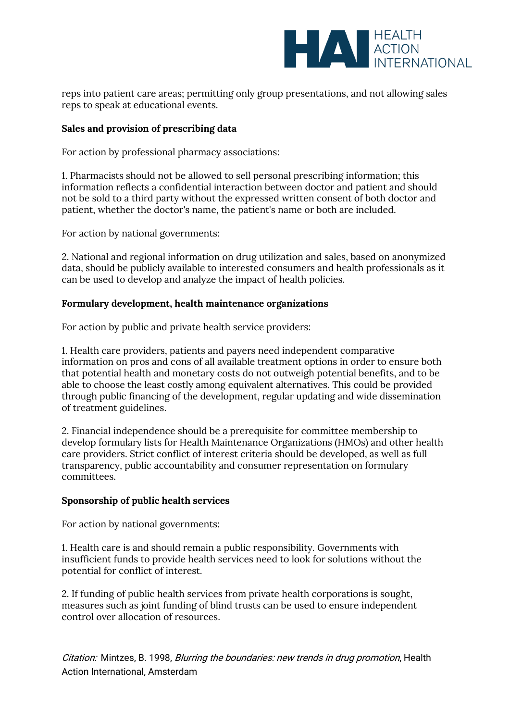

reps into patient care areas; permitting only group presentations, and not allowing sales reps to speak at educational events.

## **Sales and provision of prescribing data**

For action by professional pharmacy associations:

1. Pharmacists should not be allowed to sell personal prescribing information; this information reflects a confidential interaction between doctor and patient and should not be sold to a third party without the expressed written consent of both doctor and patient, whether the doctor's name, the patient's name or both are included.

For action by national governments:

2. National and regional information on drug utilization and sales, based on anonymized data, should be publicly available to interested consumers and health professionals as it can be used to develop and analyze the impact of health policies.

### **Formulary development, health maintenance organizations**

For action by public and private health service providers:

1. Health care providers, patients and payers need independent comparative information on pros and cons of all available treatment options in order to ensure both that potential health and monetary costs do not outweigh potential benefits, and to be able to choose the least costly among equivalent alternatives. This could be provided through public financing of the development, regular updating and wide dissemination of treatment guidelines.

2. Financial independence should be a prerequisite for committee membership to develop formulary lists for Health Maintenance Organizations (HMOs) and other health care providers. Strict conflict of interest criteria should be developed, as well as full transparency, public accountability and consumer representation on formulary committees.

### **Sponsorship of public health services**

For action by national governments:

1. Health care is and should remain a public responsibility. Governments with insufficient funds to provide health services need to look for solutions without the potential for conflict of interest.

2. If funding of public health services from private health corporations is sought, measures such as joint funding of blind trusts can be used to ensure independent control over allocation of resources.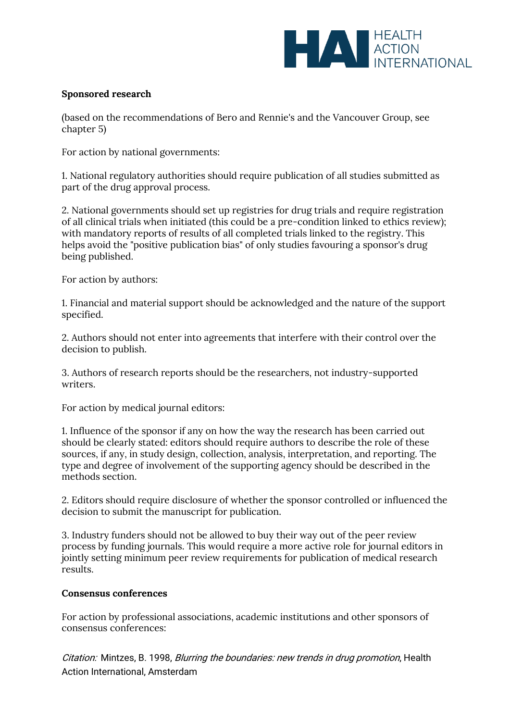

# **Sponsored research**

(based on the recommendations of Bero and Rennie's and the Vancouver Group, see chapter 5)

For action by national governments:

1. National regulatory authorities should require publication of all studies submitted as part of the drug approval process.

2. National governments should set up registries for drug trials and require registration of all clinical trials when initiated (this could be a pre-condition linked to ethics review); with mandatory reports of results of all completed trials linked to the registry. This helps avoid the "positive publication bias" of only studies favouring a sponsor's drug being published.

For action by authors:

1. Financial and material support should be acknowledged and the nature of the support specified.

2. Authors should not enter into agreements that interfere with their control over the decision to publish.

3. Authors of research reports should be the researchers, not industry-supported writers.

For action by medical journal editors:

1. Influence of the sponsor if any on how the way the research has been carried out should be clearly stated: editors should require authors to describe the role of these sources, if any, in study design, collection, analysis, interpretation, and reporting. The type and degree of involvement of the supporting agency should be described in the methods section.

2. Editors should require disclosure of whether the sponsor controlled or influenced the decision to submit the manuscript for publication.

3. Industry funders should not be allowed to buy their way out of the peer review process by funding journals. This would require a more active role for journal editors in jointly setting minimum peer review requirements for publication of medical research results.

### **Consensus conferences**

For action by professional associations, academic institutions and other sponsors of consensus conferences: